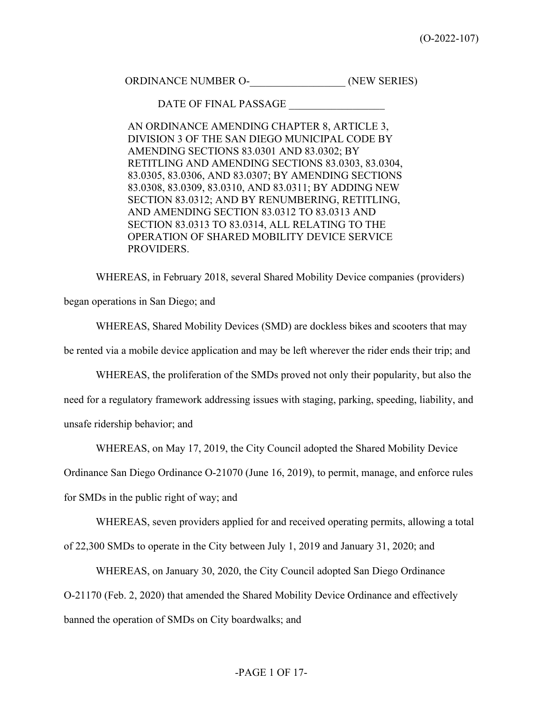ORDINANCE NUMBER O- (NEW SERIES)

DATE OF FINAL PASSAGE

AN ORDINANCE AMENDING CHAPTER 8, ARTICLE 3, DIVISION 3 OF THE SAN DIEGO MUNICIPAL CODE BY AMENDING SECTIONS 83.0301 AND 83.0302; BY RETITLING AND AMENDING SECTIONS 83.0303, 83.0304, 83.0305, 83.0306, AND 83.0307; BY AMENDING SECTIONS 83.0308, 83.0309, 83.0310, AND 83.0311; BY ADDING NEW SECTION 83.0312; AND BY RENUMBERING, RETITLING, AND AMENDING SECTION 83.0312 TO 83.0313 AND SECTION 83.0313 TO 83.0314, ALL RELATING TO THE OPERATION OF SHARED MOBILITY DEVICE SERVICE PROVIDERS.

WHEREAS, in February 2018, several Shared Mobility Device companies (providers) began operations in San Diego; and

WHEREAS, Shared Mobility Devices (SMD) are dockless bikes and scooters that may be rented via a mobile device application and may be left wherever the rider ends their trip; and

WHEREAS, the proliferation of the SMDs proved not only their popularity, but also the need for a regulatory framework addressing issues with staging, parking, speeding, liability, and unsafe ridership behavior; and

WHEREAS, on May 17, 2019, the City Council adopted the Shared Mobility Device

Ordinance San Diego Ordinance O-21070 (June 16, 2019), to permit, manage, and enforce rules

for SMDs in the public right of way; and

WHEREAS, seven providers applied for and received operating permits, allowing a total

of 22,300 SMDs to operate in the City between July 1, 2019 and January 31, 2020; and

WHEREAS, on January 30, 2020, the City Council adopted San Diego Ordinance

O-21170 (Feb. 2, 2020) that amended the Shared Mobility Device Ordinance and effectively banned the operation of SMDs on City boardwalks; and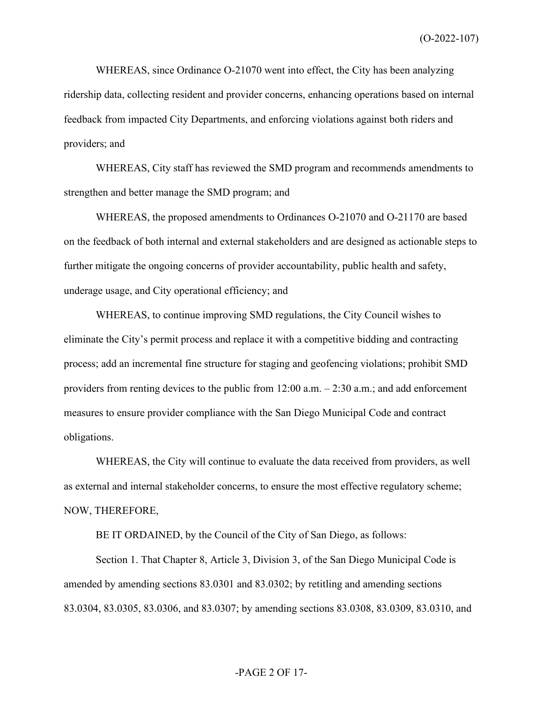(O-2022-107)

WHEREAS, since Ordinance O-21070 went into effect, the City has been analyzing ridership data, collecting resident and provider concerns, enhancing operations based on internal feedback from impacted City Departments, and enforcing violations against both riders and providers; and

WHEREAS, City staff has reviewed the SMD program and recommends amendments to strengthen and better manage the SMD program; and

WHEREAS, the proposed amendments to Ordinances O-21070 and O-21170 are based on the feedback of both internal and external stakeholders and are designed as actionable steps to further mitigate the ongoing concerns of provider accountability, public health and safety, underage usage, and City operational efficiency; and

WHEREAS, to continue improving SMD regulations, the City Council wishes to eliminate the City's permit process and replace it with a competitive bidding and contracting process; add an incremental fine structure for staging and geofencing violations; prohibit SMD providers from renting devices to the public from 12:00 a.m. – 2:30 a.m.; and add enforcement measures to ensure provider compliance with the San Diego Municipal Code and contract obligations.

WHEREAS, the City will continue to evaluate the data received from providers, as well as external and internal stakeholder concerns, to ensure the most effective regulatory scheme; NOW, THEREFORE,

BE IT ORDAINED, by the Council of the City of San Diego, as follows:

Section 1. That Chapter 8, Article 3, Division 3, of the San Diego Municipal Code is amended by amending sections 83.0301 and 83.0302; by retitling and amending sections 83.0304, 83.0305, 83.0306, and 83.0307; by amending sections 83.0308, 83.0309, 83.0310, and

### -PAGE 2 OF 17-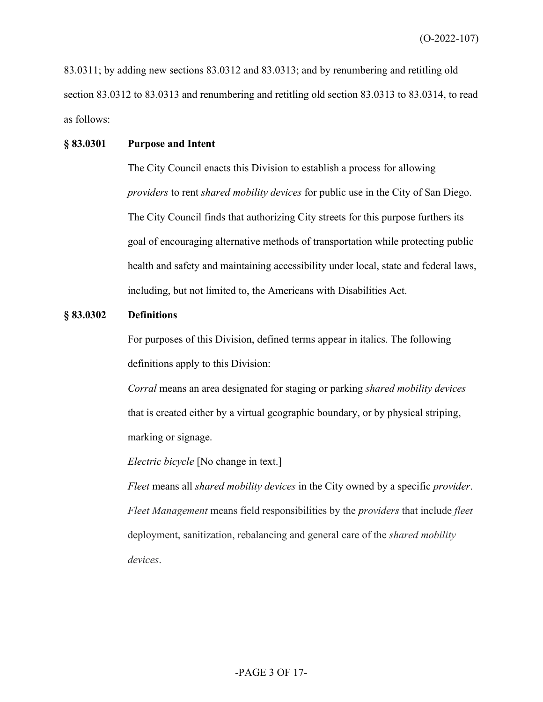83.0311; by adding new sections 83.0312 and 83.0313; and by renumbering and retitling old section 83.0312 to 83.0313 and renumbering and retitling old section 83.0313 to 83.0314, to read as follows:

# **§ 83.0301 Purpose and Intent**

The City Council enacts this Division to establish a process for allowing *providers* to rent *shared mobility devices* for public use in the City of San Diego. The City Council finds that authorizing City streets for this purpose furthers its goal of encouraging alternative methods of transportation while protecting public health and safety and maintaining accessibility under local, state and federal laws, including, but not limited to, the Americans with Disabilities Act.

#### **§ 83.0302 Definitions**

For purposes of this Division, defined terms appear in italics. The following definitions apply to this Division:

*Corral* means an area designated for staging or parking *shared mobility devices* that is created either by a virtual geographic boundary, or by physical striping, marking or signage.

*Electric bicycle* [No change in text.]

*Fleet* means all *shared mobility devices* in the City owned by a specific *provider*. *Fleet Management* means field responsibilities by the *providers* that include *fleet* deployment, sanitization, rebalancing and general care of the *shared mobility devices*.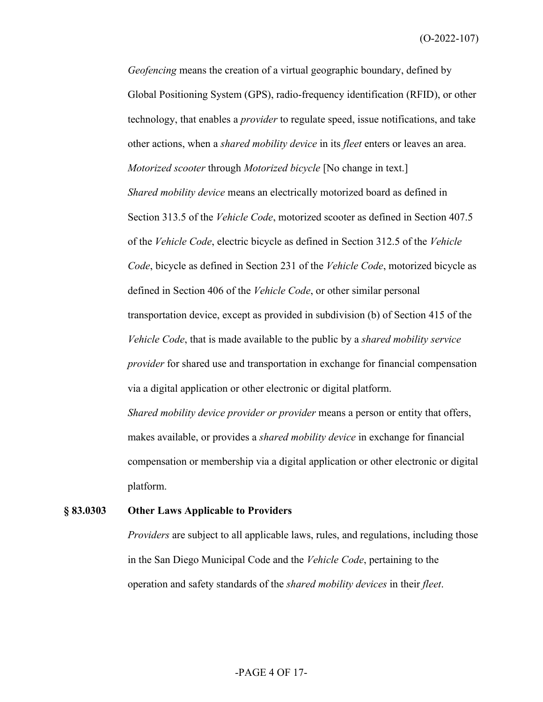(O-2022-107)

*Geofencing* means the creation of a virtual geographic boundary, defined by Global Positioning System (GPS), radio-frequency identification (RFID), or other technology, that enables a *provider* to regulate speed, issue notifications, and take other actions, when a *shared mobility device* in its *fleet* enters or leaves an area. *Motorized scooter* through *Motorized bicycle* [No change in text.] *Shared mobility device* means an electrically motorized board as defined in Section 313.5 of the *Vehicle Code*, motorized scooter as defined in Section 407.5 of the *Vehicle Code*, electric bicycle as defined in Section 312.5 of the *Vehicle Code*, bicycle as defined in Section 231 of the *Vehicle Code*, motorized bicycle as defined in Section 406 of the *Vehicle Code*, or other similar personal transportation device, except as provided in subdivision (b) of Section 415 of the *Vehicle Code*, that is made available to the public by a *shared mobility service provider* for shared use and transportation in exchange for financial compensation via a digital application or other electronic or digital platform. *Shared mobility device provider or provider* means a person or entity that offers,

makes available, or provides a *shared mobility device* in exchange for financial compensation or membership via a digital application or other electronic or digital platform.

#### **§ 83.0303 Other Laws Applicable to Providers**

*Providers* are subject to all applicable laws, rules, and regulations, including those in the San Diego Municipal Code and the *Vehicle Code*, pertaining to the operation and safety standards of the *shared mobility devices* in their *fleet*.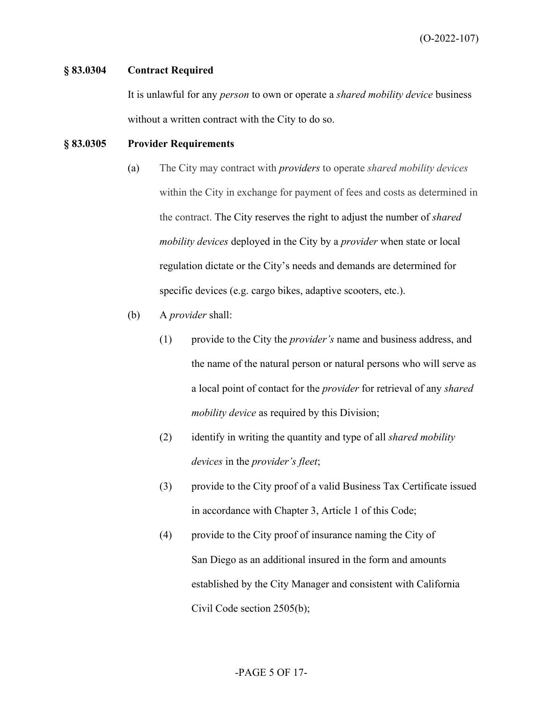### **§ 83.0304 Contract Required**

It is unlawful for any *person* to own or operate a *shared mobility device* business without a written contract with the City to do so.

# **§ 83.0305 Provider Requirements**

- (a) The City may contract with *providers* to operate *shared mobility devices* within the City in exchange for payment of fees and costs as determined in the contract. The City reserves the right to adjust the number of *shared mobility devices* deployed in the City by a *provider* when state or local regulation dictate or the City's needs and demands are determined for specific devices (e.g. cargo bikes, adaptive scooters, etc.).
- (b) A *provider* shall:
	- (1) provide to the City the *provider's* name and business address, and the name of the natural person or natural persons who will serve as a local point of contact for the *provider* for retrieval of any *shared mobility device* as required by this Division;
	- (2) identify in writing the quantity and type of all *shared mobility devices* in the *provider's fleet*;
	- (3) provide to the City proof of a valid Business Tax Certificate issued in accordance with Chapter 3, Article 1 of this Code;
	- (4) provide to the City proof of insurance naming the City of San Diego as an additional insured in the form and amounts established by the City Manager and consistent with California Civil Code section 2505(b);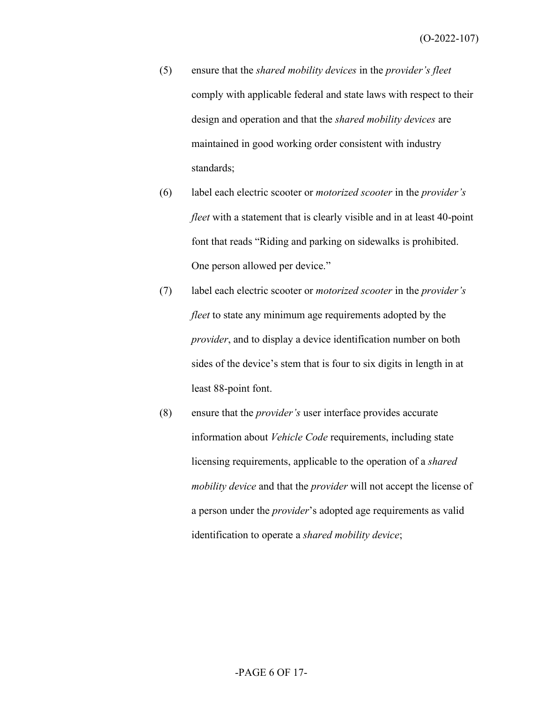- (5) ensure that the *shared mobility devices* in the *provider's fleet*  comply with applicable federal and state laws with respect to their design and operation and that the *shared mobility devices* are maintained in good working order consistent with industry standards;
- (6) label each electric scooter or *motorized scooter* in the *provider's fleet* with a statement that is clearly visible and in at least 40-point font that reads "Riding and parking on sidewalks is prohibited. One person allowed per device."
- (7) label each electric scooter or *motorized scooter* in the *provider's fleet* to state any minimum age requirements adopted by the *provider*, and to display a device identification number on both sides of the device's stem that is four to six digits in length in at least 88-point font.
- (8) ensure that the *provider's* user interface provides accurate information about *Vehicle Code* requirements, including state licensing requirements, applicable to the operation of a *shared mobility device* and that the *provider* will not accept the license of a person under the *provider*'s adopted age requirements as valid identification to operate a *shared mobility device*;

# -PAGE 6 OF 17-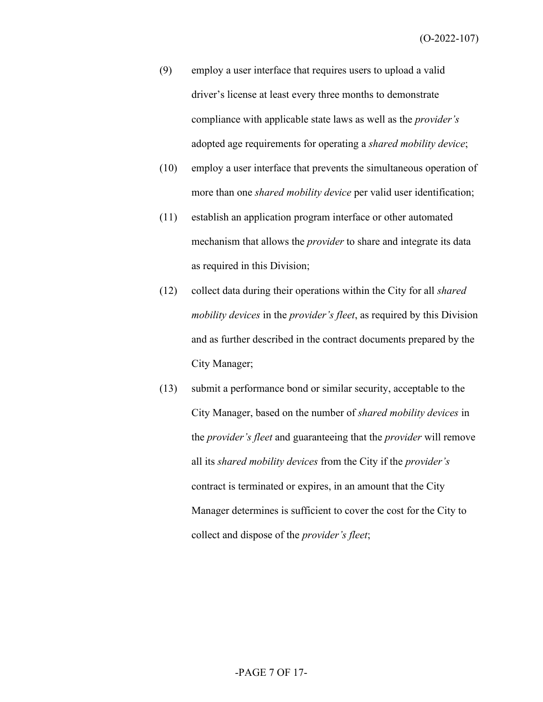- (9) employ a user interface that requires users to upload a valid driver's license at least every three months to demonstrate compliance with applicable state laws as well as the *provider's* adopted age requirements for operating a *shared mobility device*;
- (10) employ a user interface that prevents the simultaneous operation of more than one *shared mobility device* per valid user identification;
- (11) establish an application program interface or other automated mechanism that allows the *provider* to share and integrate its data as required in this Division;
- (12) collect data during their operations within the City for all *shared mobility devices* in the *provider's fleet*, as required by this Division and as further described in the contract documents prepared by the City Manager;
- (13) submit a performance bond or similar security, acceptable to the City Manager, based on the number of *shared mobility devices* in the *provider's fleet* and guaranteeing that the *provider* will remove all its *shared mobility devices* from the City if the *provider's* contract is terminated or expires, in an amount that the City Manager determines is sufficient to cover the cost for the City to collect and dispose of the *provider's fleet*;

# -PAGE 7 OF 17-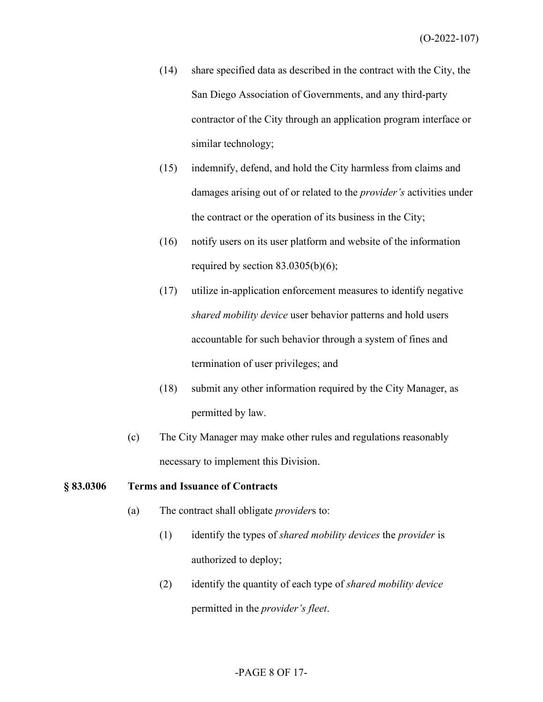- (14) share specified data as described in the contract with the City, the San Diego Association of Governments, and any third-party contractor of the City through an application program interface or similar technology;
- (15) indemnify, defend, and hold the City harmless from claims and damages arising out of or related to the *provider's* activities under the contract or the operation of its business in the City;
- (16) notify users on its user platform and website of the information required by section  $83.0305(b)(6)$ ;
- (17) utilize in-application enforcement measures to identify negative *shared mobility device* user behavior patterns and hold users accountable for such behavior through a system of fines and termination of user privileges; and
- (18) submit any other information required by the City Manager, as permitted by law.
- (c) The City Manager may make other rules and regulations reasonably necessary to implement this Division.

### **§ 83.0306 Terms and Issuance of Contracts**

- (a) The contract shall obligate *provider*s to:
	- (1) identify the types of *shared mobility devices* the *provider* is authorized to deploy;
	- (2) identify the quantity of each type of *shared mobility device* permitted in the *provider's fleet*.

# -PAGE 8 OF 17-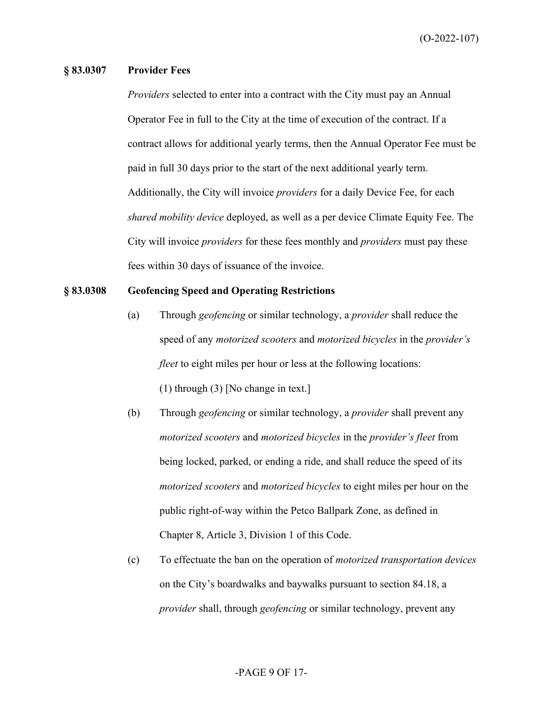#### **§ 83.0307 Provider Fees**

*Providers* selected to enter into a contract with the City must pay an Annual Operator Fee in full to the City at the time of execution of the contract. If a contract allows for additional yearly terms, then the Annual Operator Fee must be paid in full 30 days prior to the start of the next additional yearly term. Additionally, the City will invoice *providers* for a daily Device Fee, for each *shared mobility device* deployed, as well as a per device Climate Equity Fee. The City will invoice *providers* for these fees monthly and *providers* must pay these fees within 30 days of issuance of the invoice.

#### **§ 83.0308 Geofencing Speed and Operating Restrictions**

- (a) Through *geofencing* or similar technology, a *provider* shall reduce the speed of any *motorized scooters* and *motorized bicycles* in the *provider's fleet* to eight miles per hour or less at the following locations: (1) through (3) [No change in text.]
- (b) Through *geofencing* or similar technology, a *provider* shall prevent any *motorized scooters* and *motorized bicycles* in the *provider's fleet* from being locked, parked, or ending a ride, and shall reduce the speed of its *motorized scooters* and *motorized bicycles* to eight miles per hour on the public right-of-way within the Petco Ballpark Zone, as defined in Chapter 8, Article 3, Division 1 of this Code.
- (c) To effectuate the ban on the operation of *motorized transportation devices* on the City's boardwalks and baywalks pursuant to section 84.18, a *provider* shall, through *geofencing* or similar technology, prevent any

### -PAGE 9 OF 17-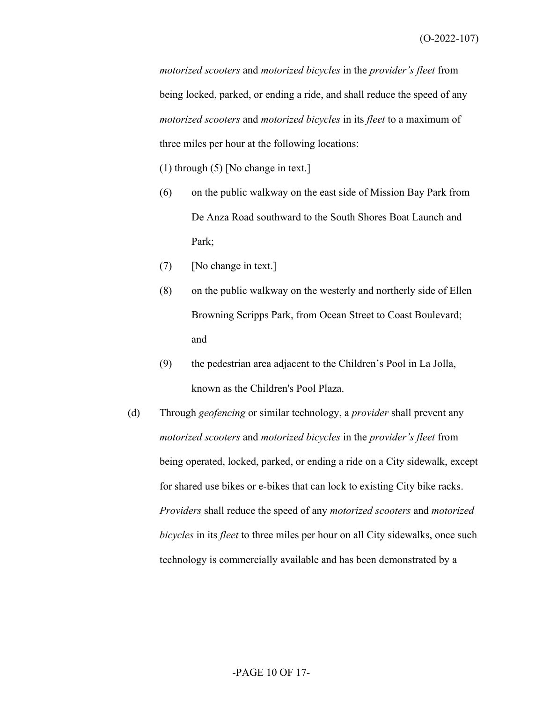*motorized scooters* and *motorized bicycles* in the *provider's fleet* from being locked, parked, or ending a ride, and shall reduce the speed of any *motorized scooters* and *motorized bicycles* in its *fleet* to a maximum of three miles per hour at the following locations:

- (1) through (5) [No change in text.]
- (6) on the public walkway on the east side of Mission Bay Park from De Anza Road southward to the South Shores Boat Launch and Park;
- (7) [No change in text.]
- (8) on the public walkway on the westerly and northerly side of Ellen Browning Scripps Park, from Ocean Street to Coast Boulevard; and
- (9) the pedestrian area adjacent to the Children's Pool in La Jolla, known as the Children's Pool Plaza.
- (d) Through *geofencing* or similar technology, a *provider* shall prevent any *motorized scooters* and *motorized bicycles* in the *provider's fleet* from being operated, locked, parked, or ending a ride on a City sidewalk, except for shared use bikes or e-bikes that can lock to existing City bike racks. *Providers* shall reduce the speed of any *motorized scooters* and *motorized bicycles* in its *fleet* to three miles per hour on all City sidewalks, once such technology is commercially available and has been demonstrated by a

# -PAGE 10 OF 17-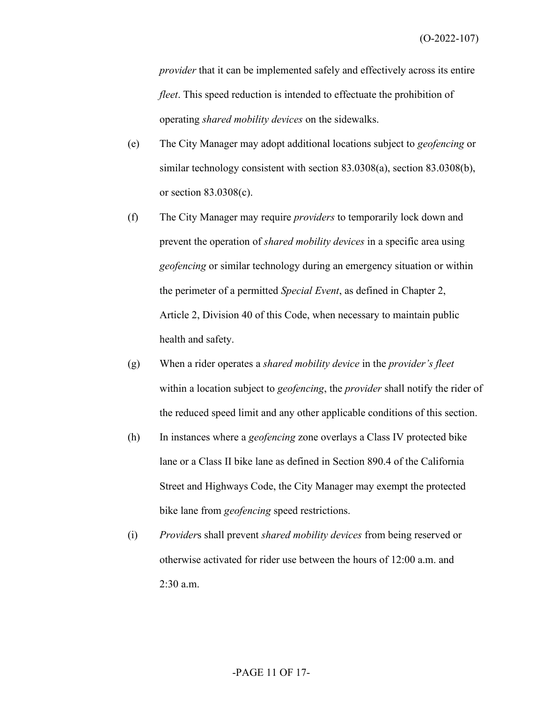*provider* that it can be implemented safely and effectively across its entire *fleet*. This speed reduction is intended to effectuate the prohibition of operating *shared mobility devices* on the sidewalks.

- (e) The City Manager may adopt additional locations subject to *geofencing* or similar technology consistent with section 83.0308(a), section 83.0308(b), or section 83.0308(c).
- (f) The City Manager may require *providers* to temporarily lock down and prevent the operation of *shared mobility devices* in a specific area using *geofencing* or similar technology during an emergency situation or within the perimeter of a permitted *Special Event*, as defined in Chapter 2, Article 2, Division 40 of this Code, when necessary to maintain public health and safety.
- (g) When a rider operates a *shared mobility device* in the *provider's fleet* within a location subject to *geofencing*, the *provider* shall notify the rider of the reduced speed limit and any other applicable conditions of this section.
- (h) In instances where a *geofencing* zone overlays a Class IV protected bike lane or a Class II bike lane as defined in Section 890.4 of the California Street and Highways Code, the City Manager may exempt the protected bike lane from *geofencing* speed restrictions.
- (i) *Provider*s shall prevent *shared mobility devices* from being reserved or otherwise activated for rider use between the hours of 12:00 a.m. and 2:30 a.m.

# -PAGE 11 OF 17-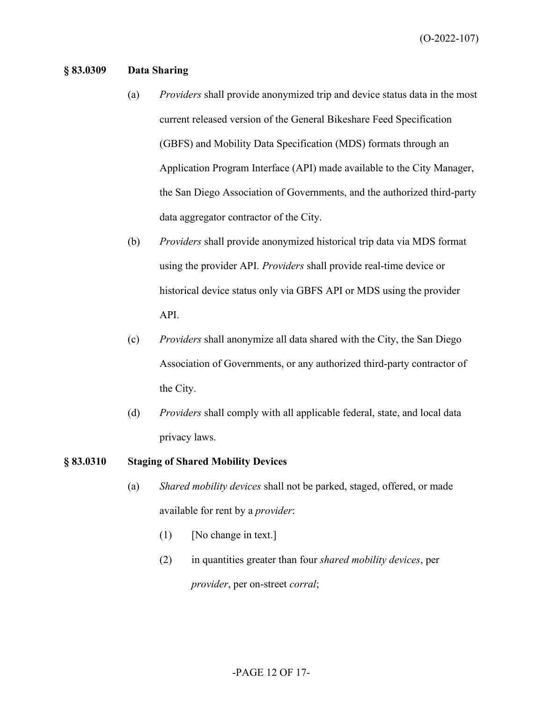### **§ 83.0309 Data Sharing**

- (a) *Providers* shall provide anonymized trip and device status data in the most current released version of the General Bikeshare Feed Specification (GBFS) and Mobility Data Specification (MDS) formats through an Application Program Interface (API) made available to the City Manager, the San Diego Association of Governments, and the authorized third-party data aggregator contractor of the City.
- (b) *Providers* shall provide anonymized historical trip data via MDS format using the provider API. *Providers* shall provide real-time device or historical device status only via GBFS API or MDS using the provider API.
- (c) *Providers* shall anonymize all data shared with the City, the San Diego Association of Governments, or any authorized third-party contractor of the City.
- (d) *Providers* shall comply with all applicable federal, state, and local data privacy laws.

#### **§ 83.0310 Staging of Shared Mobility Devices**

- (a) *Shared mobility devices* shall not be parked, staged, offered, or made available for rent by a *provider*:
	- $(1)$  [No change in text.]
	- (2) in quantities greater than four *shared mobility devices*, per *provider*, per on-street *corral*;

# -PAGE 12 OF 17-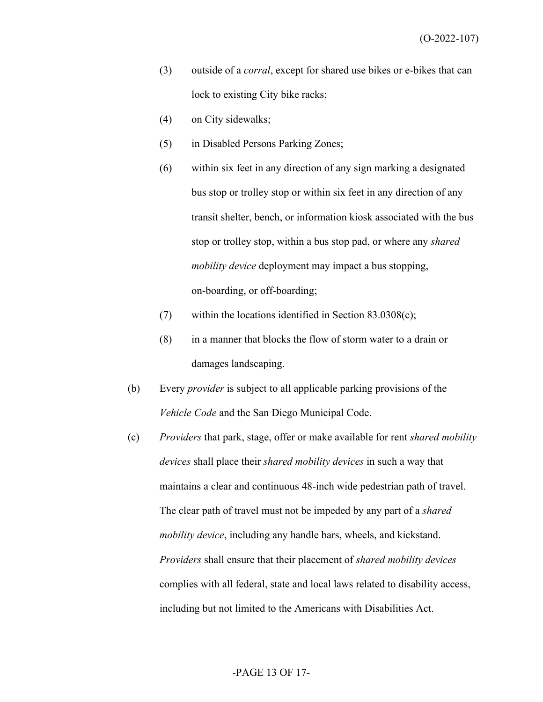- (3) outside of a *corral*, except for shared use bikes or e-bikes that can lock to existing City bike racks;
- (4) on City sidewalks;
- (5) in Disabled Persons Parking Zones;
- (6) within six feet in any direction of any sign marking a designated bus stop or trolley stop or within six feet in any direction of any transit shelter, bench, or information kiosk associated with the bus stop or trolley stop, within a bus stop pad, or where any *shared mobility device* deployment may impact a bus stopping, on-boarding, or off-boarding;
- (7) within the locations identified in Section 83.0308(c);
- $(8)$  in a manner that blocks the flow of storm water to a drain or damages landscaping.
- (b) Every *provider* is subject to all applicable parking provisions of the *Vehicle Code* and the San Diego Municipal Code.
- (c) *Providers* that park, stage, offer or make available for rent *shared mobility devices* shall place their *shared mobility devices* in such a way that maintains a clear and continuous 48-inch wide pedestrian path of travel. The clear path of travel must not be impeded by any part of a *shared mobility device*, including any handle bars, wheels, and kickstand. *Providers* shall ensure that their placement of *shared mobility devices* complies with all federal, state and local laws related to disability access, including but not limited to the Americans with Disabilities Act.

# -PAGE 13 OF 17-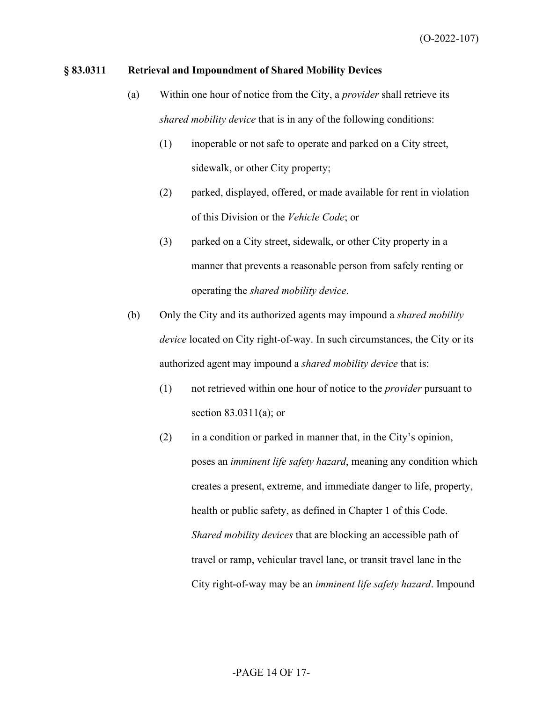### **§ 83.0311 Retrieval and Impoundment of Shared Mobility Devices**

- (a) Within one hour of notice from the City, a *provider* shall retrieve its *shared mobility device* that is in any of the following conditions:
	- (1) inoperable or not safe to operate and parked on a City street, sidewalk, or other City property;
	- (2) parked, displayed, offered, or made available for rent in violation of this Division or the *Vehicle Code*; or
	- (3) parked on a City street, sidewalk, or other City property in a manner that prevents a reasonable person from safely renting or operating the *shared mobility device*.
- (b) Only the City and its authorized agents may impound a *shared mobility device* located on City right-of-way. In such circumstances, the City or its authorized agent may impound a *shared mobility device* that is:
	- (1) not retrieved within one hour of notice to the *provider* pursuant to section 83.0311(a); or
	- (2) in a condition or parked in manner that, in the City's opinion, poses an *imminent life safety hazard*, meaning any condition which creates a present, extreme, and immediate danger to life, property, health or public safety, as defined in Chapter 1 of this Code. *Shared mobility devices* that are blocking an accessible path of travel or ramp, vehicular travel lane, or transit travel lane in the City right-of-way may be an *imminent life safety hazard*. Impound

# -PAGE 14 OF 17-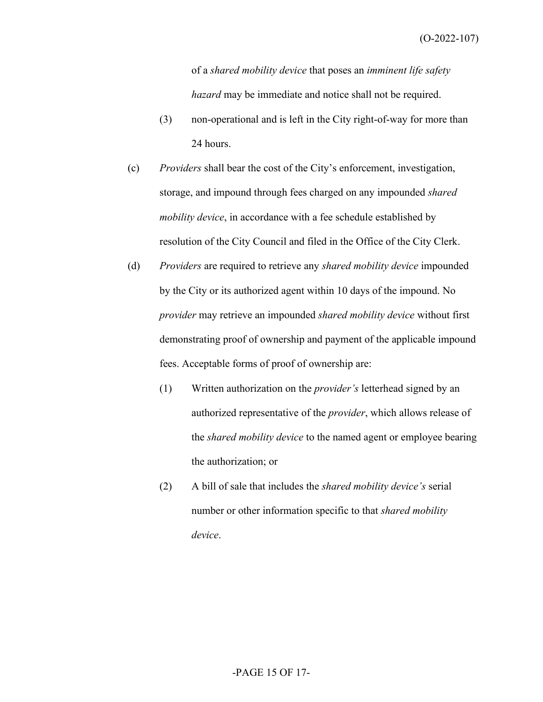(O-2022-107)

of a *shared mobility device* that poses an *imminent life safety hazard* may be immediate and notice shall not be required.

- (3) non-operational and is left in the City right-of-way for more than 24 hours.
- (c) *Providers* shall bear the cost of the City's enforcement, investigation, storage, and impound through fees charged on any impounded *shared mobility device*, in accordance with a fee schedule established by resolution of the City Council and filed in the Office of the City Clerk.
- (d) *Providers* are required to retrieve any *shared mobility device* impounded by the City or its authorized agent within 10 days of the impound. No *provider* may retrieve an impounded *shared mobility device* without first demonstrating proof of ownership and payment of the applicable impound fees. Acceptable forms of proof of ownership are:
	- (1) Written authorization on the *provider's* letterhead signed by an authorized representative of the *provider*, which allows release of the *shared mobility device* to the named agent or employee bearing the authorization; or
	- (2) A bill of sale that includes the *shared mobility device's* serial number or other information specific to that *shared mobility device*.

# -PAGE 15 OF 17-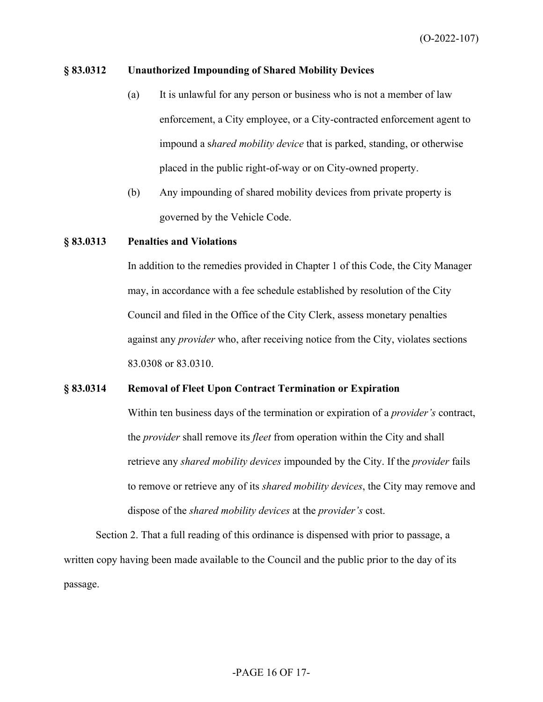### **§ 83.0312 Unauthorized Impounding of Shared Mobility Devices**

- (a) It is unlawful for any person or business who is not a member of law enforcement, a City employee, or a City-contracted enforcement agent to impound a s*hared mobility device* that is parked, standing, or otherwise placed in the public right-of-way or on City-owned property.
- (b) Any impounding of shared mobility devices from private property is governed by the Vehicle Code.

#### **§ 83.0313 Penalties and Violations**

In addition to the remedies provided in Chapter 1 of this Code, the City Manager may, in accordance with a fee schedule established by resolution of the City Council and filed in the Office of the City Clerk, assess monetary penalties against any *provider* who, after receiving notice from the City, violates sections 83.0308 or 83.0310.

#### **§ 83.0314 Removal of Fleet Upon Contract Termination or Expiration**

Within ten business days of the termination or expiration of a *provider's* contract, the *provider* shall remove its *fleet* from operation within the City and shall retrieve any *shared mobility devices* impounded by the City. If the *provider* fails to remove or retrieve any of its *shared mobility devices*, the City may remove and dispose of the *shared mobility devices* at the *provider's* cost.

Section 2. That a full reading of this ordinance is dispensed with prior to passage, a written copy having been made available to the Council and the public prior to the day of its passage.

### -PAGE 16 OF 17-